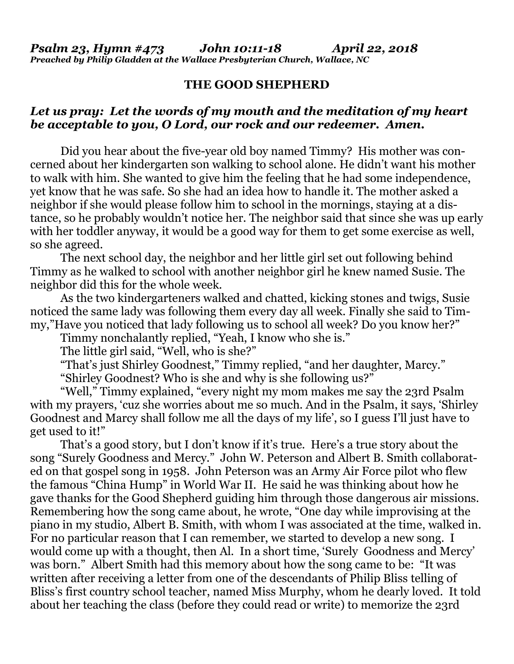## **THE GOOD SHEPHERD**

## *Let us pray: Let the words of my mouth and the meditation of my heart be acceptable to you, O Lord, our rock and our redeemer. Amen.*

Did you hear about the five-year old boy named Timmy? His mother was concerned about her kindergarten son walking to school alone. He didn't want his mother to walk with him. She wanted to give him the feeling that he had some independence, yet know that he was safe. So she had an idea how to handle it. The mother asked a neighbor if she would please follow him to school in the mornings, staying at a distance, so he probably wouldn't notice her. The neighbor said that since she was up early with her toddler anyway, it would be a good way for them to get some exercise as well, so she agreed.

The next school day, the neighbor and her little girl set out following behind Timmy as he walked to school with another neighbor girl he knew named Susie. The neighbor did this for the whole week.

As the two kindergarteners walked and chatted, kicking stones and twigs, Susie noticed the same lady was following them every day all week. Finally she said to Timmy,"Have you noticed that lady following us to school all week? Do you know her?"

Timmy nonchalantly replied, "Yeah, I know who she is."

The little girl said, "Well, who is she?"

"That's just Shirley Goodnest," Timmy replied, "and her daughter, Marcy."

"Shirley Goodnest? Who is she and why is she following us?"

"Well," Timmy explained, "every night my mom makes me say the 23rd Psalm with my prayers, 'cuz she worries about me so much. And in the Psalm, it says, 'Shirley Goodnest and Marcy shall follow me all the days of my life', so I guess I'll just have to get used to it!"

That's a good story, but I don't know if it's true. Here's a true story about the song "Surely Goodness and Mercy." John W. Peterson and Albert B. Smith collaborated on that gospel song in 1958. John Peterson was an Army Air Force pilot who flew the famous "China Hump" in World War II. He said he was thinking about how he gave thanks for the Good Shepherd guiding him through those dangerous air missions. Remembering how the song came about, he wrote, "One day while improvising at the piano in my studio, Albert B. Smith, with whom I was associated at the time, walked in. For no particular reason that I can remember, we started to develop a new song. I would come up with a thought, then Al. In a short time, 'Surely Goodness and Mercy' was born." Albert Smith had this memory about how the song came to be: "It was written after receiving a letter from one of the descendants of Philip Bliss telling of Bliss's first country school teacher, named Miss Murphy, whom he dearly loved. It told about her teaching the class (before they could read or write) to memorize the 23rd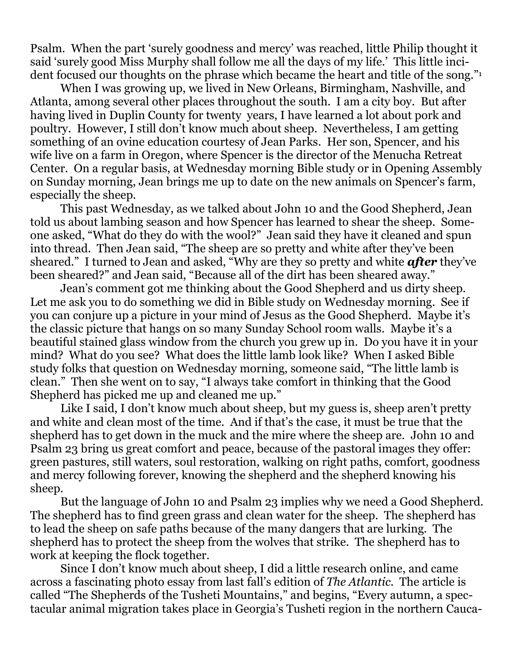Psalm. When the part 'surely goodness and mercy' was reached, little Philip thought it said 'surely good Miss Murphy shall follow me all the days of my life.' This little incident focused our thoughts on the phrase which became the heart and title of the song."<sup>1</sup>

When I was growing up, we lived in New Orleans, Birmingham, Nashville, and Atlanta, among several other places throughout the south. I am a city boy. But after having lived in Duplin County for twenty years, I have learned a lot about pork and poultry. However, I still don't know much about sheep. Nevertheless, I am getting something of an ovine education courtesy of Jean Parks. Her son, Spencer, and his wife live on a farm in Oregon, where Spencer is the director of the Menucha Retreat Center. On a regular basis, at Wednesday morning Bible study or in Opening Assembly on Sunday morning, Jean brings me up to date on the new animals on Spencer's farm, especially the sheep.

This past Wednesday, as we talked about John 10 and the Good Shepherd, Jean told us about lambing season and how Spencer has learned to shear the sheep. Someone asked, "What do they do with the wool?" Jean said they have it cleaned and spun into thread. Then Jean said, "The sheep are so pretty and white after they've been sheared." I turned to Jean and asked, "Why are they so pretty and white *after* they've been sheared?" and Jean said, "Because all of the dirt has been sheared away."

Jean's comment got me thinking about the Good Shepherd and us dirty sheep. Let me ask you to do something we did in Bible study on Wednesday morning. See if you can conjure up a picture in your mind of Jesus as the Good Shepherd. Maybe it's the classic picture that hangs on so many Sunday School room walls. Maybe it's a beautiful stained glass window from the church you grew up in. Do you have it in your mind? What do you see? What does the little lamb look like? When I asked Bible study folks that question on Wednesday morning, someone said, "The little lamb is clean." Then she went on to say, "I always take comfort in thinking that the Good Shepherd has picked me up and cleaned me up."

Like I said, I don't know much about sheep, but my guess is, sheep aren't pretty and white and clean most of the time. And if that's the case, it must be true that the shepherd has to get down in the muck and the mire where the sheep are. John 10 and Psalm 23 bring us great comfort and peace, because of the pastoral images they offer: green pastures, still waters, soul restoration, walking on right paths, comfort, goodness and mercy following forever, knowing the shepherd and the shepherd knowing his sheep.

But the language of John 10 and Psalm 23 implies why we need a Good Shepherd. The shepherd has to find green grass and clean water for the sheep. The shepherd has to lead the sheep on safe paths because of the many dangers that are lurking. The shepherd has to protect the sheep from the wolves that strike. The shepherd has to work at keeping the flock together.

Since I don't know much about sheep, I did a little research online, and came across a fascinating photo essay from last fall's edition of *The Atlantic*. The article is called "The Shepherds of the Tusheti Mountains," and begins, "Every autumn, a spectacular animal migration takes place in Georgia's Tusheti region in the northern Cauca-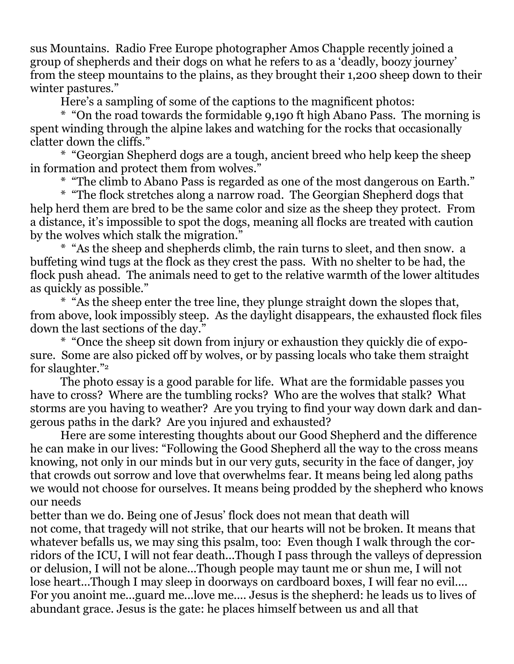sus Mountains. Radio Free Europe photographer Amos Chapple recently joined a group of shepherds and their dogs on what he refers to as a 'deadly, boozy journey' from the steep mountains to the plains, as they brought their 1,200 sheep down to their winter pastures."

Here's a sampling of some of the captions to the magnificent photos:

\* "On the road towards the formidable 9,190 ft high Abano Pass. The morning is spent winding through the alpine lakes and watching for the rocks that occasionally clatter down the cliffs."

\* "Georgian Shepherd dogs are a tough, ancient breed who help keep the sheep in formation and protect them from wolves."

\* "The climb to Abano Pass is regarded as one of the most dangerous on Earth."

\* "The flock stretches along a narrow road. The Georgian Shepherd dogs that help herd them are bred to be the same color and size as the sheep they protect. From a distance, it's impossible to spot the dogs, meaning all flocks are treated with caution by the wolves which stalk the migration."

\* "As the sheep and shepherds climb, the rain turns to sleet, and then snow. a buffeting wind tugs at the flock as they crest the pass. With no shelter to be had, the flock push ahead. The animals need to get to the relative warmth of the lower altitudes as quickly as possible."

\* "As the sheep enter the tree line, they plunge straight down the slopes that, from above, look impossibly steep. As the daylight disappears, the exhausted flock files down the last sections of the day."

\* "Once the sheep sit down from injury or exhaustion they quickly die of exposure. Some are also picked off by wolves, or by passing locals who take them straight for slaughter."<sup>2</sup>

The photo essay is a good parable for life. What are the formidable passes you have to cross? Where are the tumbling rocks? Who are the wolves that stalk? What storms are you having to weather? Are you trying to find your way down dark and dangerous paths in the dark? Are you injured and exhausted?

Here are some interesting thoughts about our Good Shepherd and the difference he can make in our lives: "Following the Good Shepherd all the way to the cross means knowing, not only in our minds but in our very guts, security in the face of danger, joy that crowds out sorrow and love that overwhelms fear. It means being led along paths we would not choose for ourselves. It means being prodded by the shepherd who knows our needs

better than we do. Being one of Jesus' flock does not mean that death will not come, that tragedy will not strike, that our hearts will not be broken. It means that whatever befalls us, we may sing this psalm, too: Even though I walk through the corridors of the ICU, I will not fear death...Though I pass through the valleys of depression or delusion, I will not be alone...Though people may taunt me or shun me, I will not lose heart...Though I may sleep in doorways on cardboard boxes, I will fear no evil.... For you anoint me...guard me...love me.... Jesus is the shepherd: he leads us to lives of abundant grace. Jesus is the gate: he places himself between us and all that